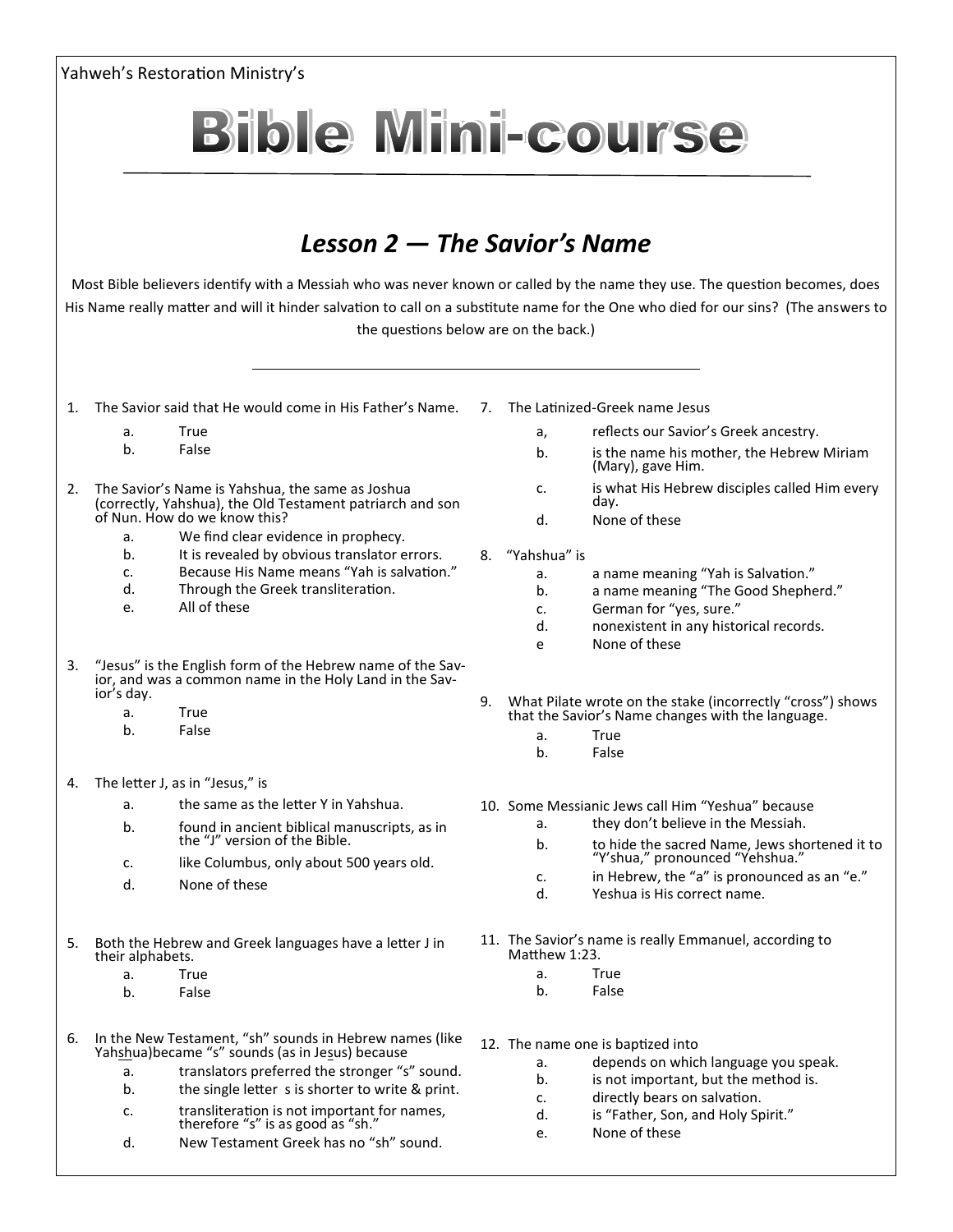| Yahweh's Restoration Ministry's |                                                                                                             |                                                                                                                                                                                                                         |    |                                                                                                                                                                                                                                                                    |  |
|---------------------------------|-------------------------------------------------------------------------------------------------------------|-------------------------------------------------------------------------------------------------------------------------------------------------------------------------------------------------------------------------|----|--------------------------------------------------------------------------------------------------------------------------------------------------------------------------------------------------------------------------------------------------------------------|--|
|                                 |                                                                                                             | <b>Bible Mini-course</b>                                                                                                                                                                                                |    |                                                                                                                                                                                                                                                                    |  |
|                                 |                                                                                                             | Lesson 2 — The Savior's Name                                                                                                                                                                                            |    |                                                                                                                                                                                                                                                                    |  |
|                                 |                                                                                                             | the questions below are on the back.)                                                                                                                                                                                   |    | Most Bible believers identify with a Messiah who was never known or called by the name they use. The question becomes, does<br>His Name really matter and will it hinder salvation to call on a substitute name for the One who died for our sins? (The answers to |  |
| $\mathbf{1}$ .                  |                                                                                                             | The Savior said that He would come in His Father's Name.                                                                                                                                                                | 7. | The Latinized-Greek name Jesus                                                                                                                                                                                                                                     |  |
|                                 | a.<br>b.                                                                                                    | True<br>False                                                                                                                                                                                                           |    | reflects our Savior's Greek ancestry.<br>a,<br>is the name his mother, the Hebrew Miriam<br>b.                                                                                                                                                                     |  |
| 2.                              |                                                                                                             | The Savior's Name is Yahshua, the same as Joshua<br>(correctly, Yahshua), the Old Testament patriarch and son                                                                                                           |    | (Mary), gave Him.<br>is what His Hebrew disciples called Him every<br>c.<br>day.                                                                                                                                                                                   |  |
|                                 | а.<br>b.<br>c.<br>d.<br>e.                                                                                  | of Nun. How do we know this?<br>We find clear evidence in prophecy.<br>It is revealed by obvious translator errors.<br>Because His Name means "Yah is salvation."<br>Through the Greek transliteration.<br>All of these | 8. | None of these<br>d.<br>"Yahshua" is<br>a name meaning "Yah is Salvation."<br>a.<br>a name meaning "The Good Shepherd."<br>b.<br>German for "yes, sure."<br>c.<br>nonexistent in any historical records.<br>d.                                                      |  |
| 3.                              | ior's day.                                                                                                  | "Jesus" is the English form of the Hebrew name of the Savior, and was a common name in the Holy Land in the Sav-                                                                                                        |    | None of these<br>e                                                                                                                                                                                                                                                 |  |
|                                 | а.<br>b.                                                                                                    | True<br>False                                                                                                                                                                                                           | 9. | What Pilate wrote on the stake (incorrectly "cross") shows<br>that the Savior's Name changes with the language.<br>True<br>a.<br>b.<br>False                                                                                                                       |  |
| 4.                              |                                                                                                             | The letter J, as in "Jesus," is                                                                                                                                                                                         |    |                                                                                                                                                                                                                                                                    |  |
|                                 | a.<br>b.                                                                                                    | the same as the letter Y in Yahshua.<br>found in ancient biblical manuscripts, as in<br>the "J" version of the Bible.                                                                                                   |    | 10. Some Messianic Jews call Him "Yeshua" because<br>they don't believe in the Messiah.<br>a.                                                                                                                                                                      |  |
|                                 | c.                                                                                                          | like Columbus, only about 500 years old.                                                                                                                                                                                |    | to hide the sacred Name, Jews shortened it to<br>"Y'shua," pronounced "Yehshua."<br>b.                                                                                                                                                                             |  |
|                                 | d.                                                                                                          | None of these                                                                                                                                                                                                           |    | in Hebrew, the "a" is pronounced as an "e."<br>c.<br>d.<br>Yeshua is His correct name.                                                                                                                                                                             |  |
|                                 | Both the Hebrew and Greek languages have a letter J in<br>their alphabets.                                  |                                                                                                                                                                                                                         |    | 11. The Savior's name is really Emmanuel, according to<br>Matthew 1:23.                                                                                                                                                                                            |  |
|                                 | a.<br>b.                                                                                                    | True<br>False                                                                                                                                                                                                           |    | True<br>a.<br>b.<br>False                                                                                                                                                                                                                                          |  |
|                                 | In the New Testament, "sh" sounds in Hebrew names (like<br>Yahshua) became "s" sounds (as in Jesus) because |                                                                                                                                                                                                                         |    | 12. The name one is baptized into                                                                                                                                                                                                                                  |  |
|                                 | a.<br>b.                                                                                                    | translators preferred the stronger "s" sound.<br>the single letter s is shorter to write & print.                                                                                                                       |    | depends on which language you speak.<br>a.<br>is not important, but the method is.<br>b.                                                                                                                                                                           |  |
|                                 | c.                                                                                                          | transliteration is not important for names,<br>therefore "s" is as good as "sh."                                                                                                                                        |    | directly bears on salvation.<br>c.<br>is "Father, Son, and Holy Spirit."<br>d.<br>None of those                                                                                                                                                                    |  |

e. None of these

d. New Testament Greek has no "sh" sound.